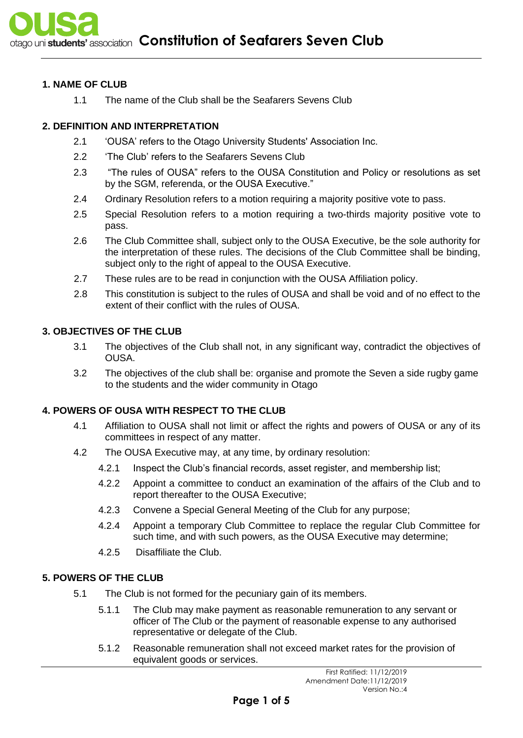#### **1. NAME OF CLUB**

1.1 The name of the Club shall be the Seafarers Sevens Club

# **2. DEFINITION AND INTERPRETATION**

- 2.1 'OUSA' refers to the Otago University Students' Association Inc.
- 2.2 'The Club' refers to the Seafarers Sevens Club
- 2.3 "The rules of OUSA" refers to the OUSA Constitution and Policy or resolutions as set by the SGM, referenda, or the OUSA Executive."
- 2.4 Ordinary Resolution refers to a motion requiring a majority positive vote to pass.
- 2.5 Special Resolution refers to a motion requiring a two-thirds majority positive vote to pass.
- 2.6 The Club Committee shall, subject only to the OUSA Executive, be the sole authority for the interpretation of these rules. The decisions of the Club Committee shall be binding, subject only to the right of appeal to the OUSA Executive.
- 2.7 These rules are to be read in conjunction with the OUSA Affiliation policy.
- 2.8 This constitution is subject to the rules of OUSA and shall be void and of no effect to the extent of their conflict with the rules of OUSA.

## **3. OBJECTIVES OF THE CLUB**

- 3.1 The objectives of the Club shall not, in any significant way, contradict the objectives of OUSA.
- 3.2 The objectives of the club shall be: organise and promote the Seven a side rugby game to the students and the wider community in Otago

# **4. POWERS OF OUSA WITH RESPECT TO THE CLUB**

- 4.1 Affiliation to OUSA shall not limit or affect the rights and powers of OUSA or any of its committees in respect of any matter.
- 4.2 The OUSA Executive may, at any time, by ordinary resolution:
	- 4.2.1 Inspect the Club's financial records, asset register, and membership list;
	- 4.2.2 Appoint a committee to conduct an examination of the affairs of the Club and to report thereafter to the OUSA Executive;
	- 4.2.3 Convene a Special General Meeting of the Club for any purpose;
	- 4.2.4 Appoint a temporary Club Committee to replace the regular Club Committee for such time, and with such powers, as the OUSA Executive may determine;
	- 4.2.5 Disaffiliate the Club.

#### **5. POWERS OF THE CLUB**

- 5.1 The Club is not formed for the pecuniary gain of its members.
	- 5.1.1 The Club may make payment as reasonable remuneration to any servant or officer of The Club or the payment of reasonable expense to any authorised representative or delegate of the Club.
	- 5.1.2 Reasonable remuneration shall not exceed market rates for the provision of equivalent goods or services.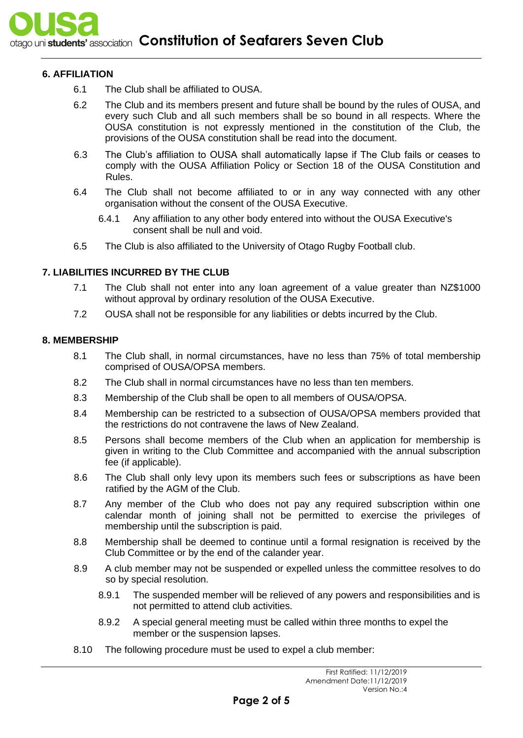## **6. AFFILIATION**

- 6.1 The Club shall be affiliated to OUSA.
- 6.2 The Club and its members present and future shall be bound by the rules of OUSA, and every such Club and all such members shall be so bound in all respects. Where the OUSA constitution is not expressly mentioned in the constitution of the Club, the provisions of the OUSA constitution shall be read into the document.
- 6.3 The Club's affiliation to OUSA shall automatically lapse if The Club fails or ceases to comply with the OUSA Affiliation Policy or Section 18 of the OUSA Constitution and Rules.
- 6.4 The Club shall not become affiliated to or in any way connected with any other organisation without the consent of the OUSA Executive.
	- 6.4.1 Any affiliation to any other body entered into without the OUSA Executive's consent shall be null and void.
- 6.5 The Club is also affiliated to the University of Otago Rugby Football club.

## **7. LIABILITIES INCURRED BY THE CLUB**

- 7.1 The Club shall not enter into any loan agreement of a value greater than NZ\$1000 without approval by ordinary resolution of the OUSA Executive.
- 7.2 OUSA shall not be responsible for any liabilities or debts incurred by the Club.

#### **8. MEMBERSHIP**

- 8.1 The Club shall, in normal circumstances, have no less than 75% of total membership comprised of OUSA/OPSA members.
- 8.2 The Club shall in normal circumstances have no less than ten members.
- 8.3 Membership of the Club shall be open to all members of OUSA/OPSA.
- 8.4 Membership can be restricted to a subsection of OUSA/OPSA members provided that the restrictions do not contravene the laws of New Zealand.
- 8.5 Persons shall become members of the Club when an application for membership is given in writing to the Club Committee and accompanied with the annual subscription fee (if applicable).
- 8.6 The Club shall only levy upon its members such fees or subscriptions as have been ratified by the AGM of the Club.
- 8.7 Any member of the Club who does not pay any required subscription within one calendar month of joining shall not be permitted to exercise the privileges of membership until the subscription is paid.
- 8.8 Membership shall be deemed to continue until a formal resignation is received by the Club Committee or by the end of the calander year.
- 8.9 A club member may not be suspended or expelled unless the committee resolves to do so by special resolution.
	- 8.9.1 The suspended member will be relieved of any powers and responsibilities and is not permitted to attend club activities.
	- 8.9.2 A special general meeting must be called within three months to expel the member or the suspension lapses.
- 8.10 The following procedure must be used to expel a club member: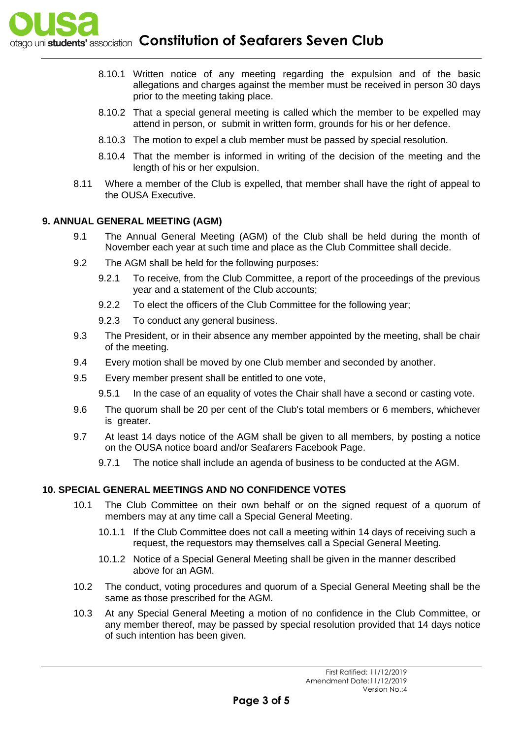otago uni students' association **Constitution of Seafarers Seven Club** 

- 8.10.1 Written notice of any meeting regarding the expulsion and of the basic allegations and charges against the member must be received in person 30 days prior to the meeting taking place.
- 8.10.2 That a special general meeting is called which the member to be expelled may attend in person, or submit in written form, grounds for his or her defence.
- 8.10.3 The motion to expel a club member must be passed by special resolution.
- 8.10.4 That the member is informed in writing of the decision of the meeting and the length of his or her expulsion.
- 8.11 Where a member of the Club is expelled, that member shall have the right of appeal to the OUSA Executive.

## **9. ANNUAL GENERAL MEETING (AGM)**

- 9.1 The Annual General Meeting (AGM) of the Club shall be held during the month of November each year at such time and place as the Club Committee shall decide.
- 9.2 The AGM shall be held for the following purposes:
	- 9.2.1 To receive, from the Club Committee, a report of the proceedings of the previous year and a statement of the Club accounts;
	- 9.2.2 To elect the officers of the Club Committee for the following year;
	- 9.2.3 To conduct any general business.
- 9.3 The President, or in their absence any member appointed by the meeting, shall be chair of the meeting.
- 9.4 Every motion shall be moved by one Club member and seconded by another.
- 9.5 Every member present shall be entitled to one vote,
	- 9.5.1 In the case of an equality of votes the Chair shall have a second or casting vote.
- 9.6 The quorum shall be 20 per cent of the Club's total members or 6 members, whichever is greater.
- 9.7 At least 14 days notice of the AGM shall be given to all members, by posting a notice on the OUSA notice board and/or Seafarers Facebook Page.
	- 9.7.1 The notice shall include an agenda of business to be conducted at the AGM.

# **10. SPECIAL GENERAL MEETINGS AND NO CONFIDENCE VOTES**

- 10.1 The Club Committee on their own behalf or on the signed request of a quorum of members may at any time call a Special General Meeting.
	- 10.1.1 If the Club Committee does not call a meeting within 14 days of receiving such a request, the requestors may themselves call a Special General Meeting.
	- 10.1.2 Notice of a Special General Meeting shall be given in the manner described above for an AGM.
- 10.2 The conduct, voting procedures and quorum of a Special General Meeting shall be the same as those prescribed for the AGM.
- 10.3 At any Special General Meeting a motion of no confidence in the Club Committee, or any member thereof, may be passed by special resolution provided that 14 days notice of such intention has been given.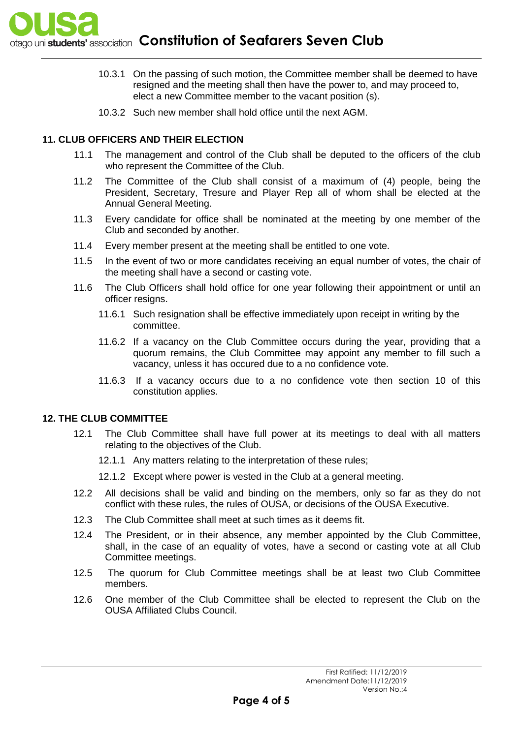

- 10.3.1 On the passing of such motion, the Committee member shall be deemed to have resigned and the meeting shall then have the power to, and may proceed to, elect a new Committee member to the vacant position (s).
- 10.3.2 Such new member shall hold office until the next AGM.

#### **11. CLUB OFFICERS AND THEIR ELECTION**

- 11.1 The management and control of the Club shall be deputed to the officers of the club who represent the Committee of the Club.
- 11.2 The Committee of the Club shall consist of a maximum of (4) people, being the President, Secretary, Tresure and Player Rep all of whom shall be elected at the Annual General Meeting.
- 11.3 Every candidate for office shall be nominated at the meeting by one member of the Club and seconded by another.
- 11.4 Every member present at the meeting shall be entitled to one vote.
- 11.5 In the event of two or more candidates receiving an equal number of votes, the chair of the meeting shall have a second or casting vote.
- 11.6 The Club Officers shall hold office for one year following their appointment or until an officer resigns.
	- 11.6.1 Such resignation shall be effective immediately upon receipt in writing by the committee.
	- 11.6.2 If a vacancy on the Club Committee occurs during the year, providing that a quorum remains, the Club Committee may appoint any member to fill such a vacancy, unless it has occured due to a no confidence vote.
	- 11.6.3 If a vacancy occurs due to a no confidence vote then section 10 of this constitution applies.

#### **12. THE CLUB COMMITTEE**

- 12.1 The Club Committee shall have full power at its meetings to deal with all matters relating to the objectives of the Club.
	- 12.1.1 Any matters relating to the interpretation of these rules;
	- 12.1.2 Except where power is vested in the Club at a general meeting.
- 12.2 All decisions shall be valid and binding on the members, only so far as they do not conflict with these rules, the rules of OUSA, or decisions of the OUSA Executive.
- 12.3 The Club Committee shall meet at such times as it deems fit.
- 12.4 The President, or in their absence, any member appointed by the Club Committee, shall, in the case of an equality of votes, have a second or casting vote at all Club Committee meetings.
- 12.5 The quorum for Club Committee meetings shall be at least two Club Committee members.
- 12.6 One member of the Club Committee shall be elected to represent the Club on the OUSA Affiliated Clubs Council.